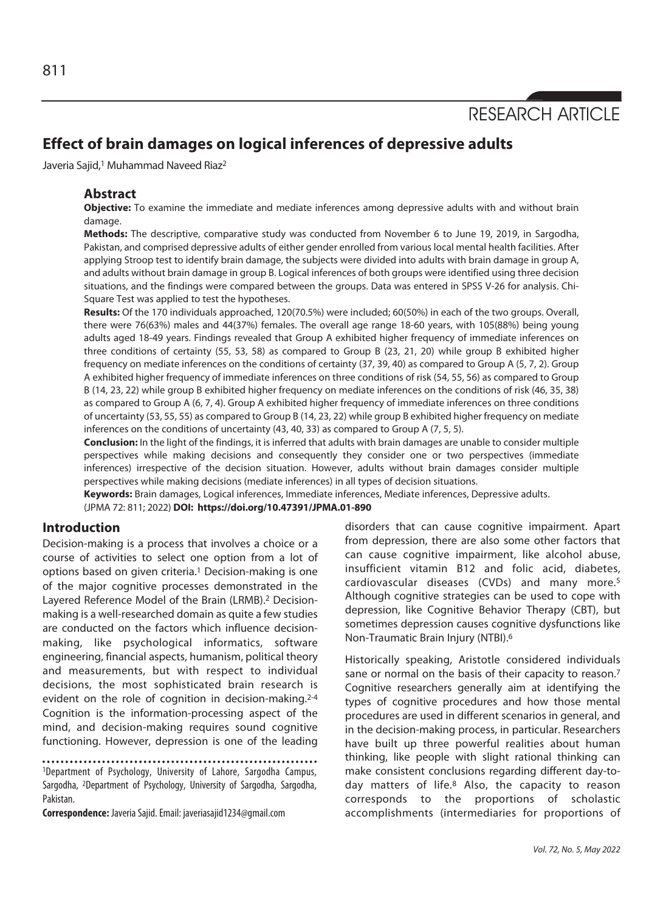RESEARCH ARTICLE

# **Effect of brain damages on logical inferences of depressive adults**

Javeria Sajid,<sup>1</sup> Muhammad Naveed Riaz<sup>2</sup>

#### **Abstract**

**Objective:** To examine the immediate and mediate inferences among depressive adults with and without brain damage.

**Methods:** The descriptive, comparative study was conducted from November 6 to June 19, 2019, in Sargodha, Pakistan, and comprised depressive adults of either gender enrolled from various local mental health facilities. After applying Stroop test to identify brain damage, the subjects were divided into adults with brain damage in group A, and adults without brain damage in group B. Logical inferences of both groups were identified using three decision situations, and the findings were compared between the groups. Data was entered in SPSS V-26 for analysis. Chi-Square Test was applied to test the hypotheses.

**Results:** Of the 170 individuals approached, 120(70.5%) were included; 60(50%) in each of the two groups. Overall, there were 76(63%) males and 44(37%) females. The overall age range 18-60 years, with 105(88%) being young adults aged 18-49 years. Findings revealed that Group A exhibited higher frequency of immediate inferences on three conditions of certainty (55, 53, 58) as compared to Group B (23, 21, 20) while group B exhibited higher frequency on mediate inferences on the conditions of certainty (37, 39, 40) as compared to Group A (5, 7, 2). Group A exhibited higher frequency of immediate inferences on three conditions of risk (54, 55, 56) as compared to Group B (14, 23, 22) while group B exhibited higher frequency on mediate inferences on the conditions of risk (46, 35, 38) as compared to Group A (6, 7, 4). Group A exhibited higher frequency of immediate inferences on three conditions of uncertainty (53, 55, 55) as compared to Group B (14, 23, 22) while group B exhibited higher frequency on mediate inferences on the conditions of uncertainty (43, 40, 33) as compared to Group A (7, 5, 5).

**Conclusion:** In the light of the findings, it is inferred that adults with brain damages are unable to consider multiple perspectives while making decisions and consequently they consider one or two perspectives (immediate inferences) irrespective of the decision situation. However, adults without brain damages consider multiple perspectives while making decisions (mediate inferences) in all types of decision situations.

**Keywords:** Brain damages, Logical inferences, Immediate inferences, Mediate inferences, Depressive adults.

(JPMA 72: 811; 2022) **DOI: https://doi.org/10.47391/JPMA.01-890** 

#### **Introduction**

Decision-making is a process that involves a choice or a course of activities to select one option from a lot of options based on given criteria.1 Decision-making is one of the major cognitive processes demonstrated in the Layered Reference Model of the Brain (LRMB).2 Decisionmaking is a well-researched domain as quite a few studies are conducted on the factors which influence decisionmaking, like psychological informatics, software engineering, financial aspects, humanism, political theory and measurements, but with respect to individual decisions, the most sophisticated brain research is evident on the role of cognition in decision-making.<sup>2-4</sup> Cognition is the information-processing aspect of the mind, and decision-making requires sound cognitive functioning. However, depression is one of the leading

1Department of Psychology, University of Lahore, Sargodha Campus, Sargodha, 2Department of Psychology, University of Sargodha, Sargodha, Pakistan.

**Correspondence:** Javeria Sajid. Email: javeriasajid1234@gmail.com

disorders that can cause cognitive impairment. Apart from depression, there are also some other factors that can cause cognitive impairment, like alcohol abuse, insufficient vitamin B12 and folic acid, diabetes, cardiovascular diseases (CVDs) and many more.5 Although cognitive strategies can be used to cope with depression, like Cognitive Behavior Therapy (CBT), but sometimes depression causes cognitive dysfunctions like Non-Traumatic Brain Injury (NTBI).6

Historically speaking, Aristotle considered individuals sane or normal on the basis of their capacity to reason.7 Cognitive researchers generally aim at identifying the types of cognitive procedures and how those mental procedures are used in different scenarios in general, and in the decision-making process, in particular. Researchers have built up three powerful realities about human thinking, like people with slight rational thinking can make consistent conclusions regarding different day-today matters of life.8 Also, the capacity to reason corresponds to the proportions of scholastic accomplishments (intermediaries for proportions of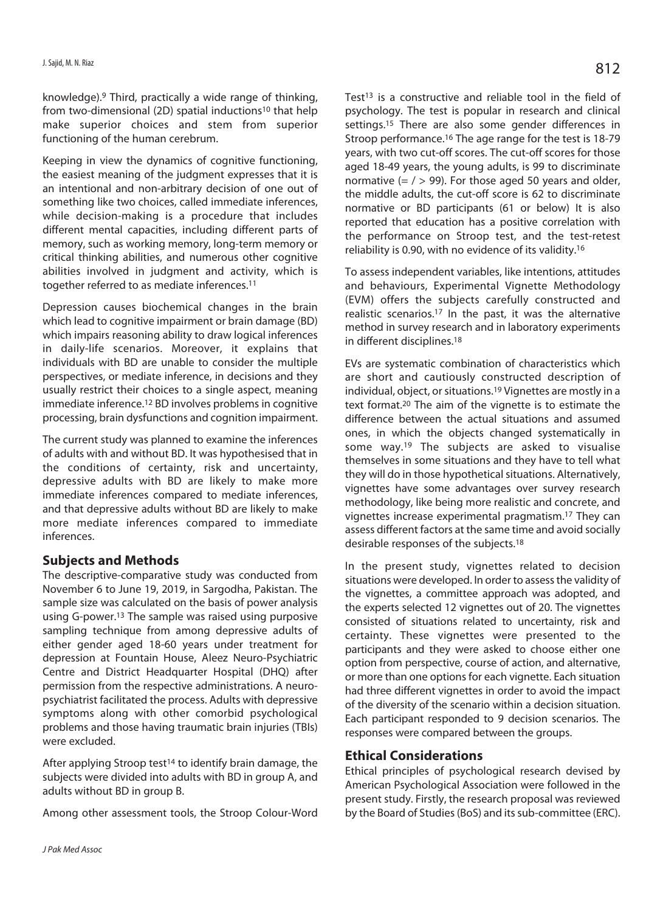knowledge).9 Third, practically a wide range of thinking, from two-dimensional (2D) spatial inductions<sup>10</sup> that help make superior choices and stem from superior functioning of the human cerebrum.

Keeping in view the dynamics of cognitive functioning, the easiest meaning of the judgment expresses that it is an intentional and non-arbitrary decision of one out of something like two choices, called immediate inferences, while decision-making is a procedure that includes different mental capacities, including different parts of memory, such as working memory, long-term memory or critical thinking abilities, and numerous other cognitive abilities involved in judgment and activity, which is together referred to as mediate inferences.11

Depression causes biochemical changes in the brain which lead to cognitive impairment or brain damage (BD) which impairs reasoning ability to draw logical inferences in daily-life scenarios. Moreover, it explains that individuals with BD are unable to consider the multiple perspectives, or mediate inference, in decisions and they usually restrict their choices to a single aspect, meaning immediate inference.12 BD involves problems in cognitive processing, brain dysfunctions and cognition impairment.

The current study was planned to examine the inferences of adults with and without BD. It was hypothesised that in the conditions of certainty, risk and uncertainty, depressive adults with BD are likely to make more immediate inferences compared to mediate inferences, and that depressive adults without BD are likely to make more mediate inferences compared to immediate inferences.

## **Subjects and Methods**

The descriptive-comparative study was conducted from November 6 to June 19, 2019, in Sargodha, Pakistan. The sample size was calculated on the basis of power analysis using G-power.13 The sample was raised using purposive sampling technique from among depressive adults of either gender aged 18-60 years under treatment for depression at Fountain House, Aleez Neuro-Psychiatric Centre and District Headquarter Hospital (DHQ) after permission from the respective administrations. A neuropsychiatrist facilitated the process. Adults with depressive symptoms along with other comorbid psychological problems and those having traumatic brain injuries (TBIs) were excluded.

After applying Stroop test<sup>14</sup> to identify brain damage, the subjects were divided into adults with BD in group A, and adults without BD in group B.

Among other assessment tools, the Stroop Colour-Word

Test<sup>13</sup> is a constructive and reliable tool in the field of psychology. The test is popular in research and clinical settings.<sup>15</sup> There are also some gender differences in Stroop performance.16 The age range for the test is 18-79 years, with two cut-off scores. The cut-off scores for those aged 18-49 years, the young adults, is 99 to discriminate normative  $(= / > 99)$ . For those aged 50 years and older, the middle adults, the cut-off score is 62 to discriminate normative or BD participants (61 or below) It is also reported that education has a positive correlation with the performance on Stroop test, and the test-retest reliability is 0.90, with no evidence of its validity.16

To assess independent variables, like intentions, attitudes and behaviours, Experimental Vignette Methodology (EVM) offers the subjects carefully constructed and realistic scenarios.17 In the past, it was the alternative method in survey research and in laboratory experiments in different disciplines.18

EVs are systematic combination of characteristics which are short and cautiously constructed description of individual, object, or situations.19 Vignettes are mostly in a text format.20 The aim of the vignette is to estimate the difference between the actual situations and assumed ones, in which the objects changed systematically in some way.19 The subjects are asked to visualise themselves in some situations and they have to tell what they will do in those hypothetical situations. Alternatively, vignettes have some advantages over survey research methodology, like being more realistic and concrete, and vignettes increase experimental pragmatism.17 They can assess different factors at the same time and avoid socially desirable responses of the subjects.18

In the present study, vignettes related to decision situations were developed. In order to assess the validity of the vignettes, a committee approach was adopted, and the experts selected 12 vignettes out of 20. The vignettes consisted of situations related to uncertainty, risk and certainty. These vignettes were presented to the participants and they were asked to choose either one option from perspective, course of action, and alternative, or more than one options for each vignette. Each situation had three different vignettes in order to avoid the impact of the diversity of the scenario within a decision situation. Each participant responded to 9 decision scenarios. The responses were compared between the groups.

# **Ethical Considerations**

Ethical principles of psychological research devised by American Psychological Association were followed in the present study. Firstly, the research proposal was reviewed by the Board of Studies (BoS) and its sub-committee (ERC).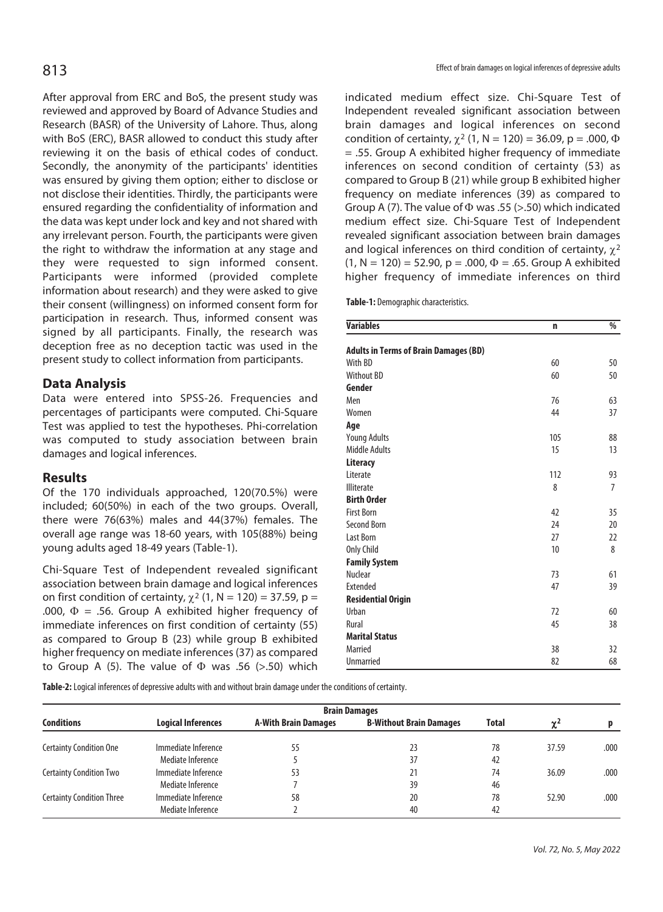After approval from ERC and BoS, the present study was reviewed and approved by Board of Advance Studies and Research (BASR) of the University of Lahore. Thus, along with BoS (ERC), BASR allowed to conduct this study after reviewing it on the basis of ethical codes of conduct. Secondly, the anonymity of the participants' identities was ensured by giving them option; either to disclose or not disclose their identities. Thirdly, the participants were ensured regarding the confidentiality of information and the data was kept under lock and key and not shared with any irrelevant person. Fourth, the participants were given the right to withdraw the information at any stage and they were requested to sign informed consent. Participants were informed (provided complete information about research) and they were asked to give their consent (willingness) on informed consent form for participation in research. Thus, informed consent was signed by all participants. Finally, the research was deception free as no deception tactic was used in the present study to collect information from participants.

# **Data Analysis**

Data were entered into SPSS-26. Frequencies and percentages of participants were computed. Chi-Square Test was applied to test the hypotheses. Phi-correlation was computed to study association between brain damages and logical inferences.

## **Results**

Of the 170 individuals approached, 120(70.5%) were included; 60(50%) in each of the two groups. Overall, there were 76(63%) males and 44(37%) females. The overall age range was 18-60 years, with 105(88%) being young adults aged 18-49 years (Table-1).

Chi-Square Test of Independent revealed significant association between brain damage and logical inferences on first condition of certainty,  $\chi^2$  (1, N = 120) = 37.59, p = .000,  $\Phi$  = .56. Group A exhibited higher frequency of immediate inferences on first condition of certainty (55) as compared to Group B (23) while group B exhibited higher frequency on mediate inferences (37) as compared to Group A (5). The value of  $\Phi$  was .56 (>.50) which

indicated medium effect size. Chi-Square Test of Independent revealed significant association between brain damages and logical inferences on second condition of certainty,  $\chi^2$  (1, N = 120) = 36.09, p = .000,  $\Phi$ = .55. Group A exhibited higher frequency of immediate inferences on second condition of certainty (53) as compared to Group B (21) while group B exhibited higher frequency on mediate inferences (39) as compared to Group A (7). The value of  $\Phi$  was .55 (>.50) which indicated medium effect size. Chi-Square Test of Independent revealed significant association between brain damages and logical inferences on third condition of certainty,  $\gamma^2$  $(1, N = 120) = 52.90$ ,  $p = .000$ ,  $\Phi = .65$ . Group A exhibited higher frequency of immediate inferences on third

**Table-1:** Demographic characteristics.

| <b>Variables</b>                             | n   | $\frac{1}{2}$  |
|----------------------------------------------|-----|----------------|
| <b>Adults in Terms of Brain Damages (BD)</b> |     |                |
| With BD                                      | 60  | 50             |
| <b>Without BD</b>                            | 60  | 50             |
| Gender                                       |     |                |
| Men                                          | 76  | 63             |
| Women                                        | 44  | 37             |
| Age                                          |     |                |
| <b>Young Adults</b>                          | 105 | 88             |
| <b>Middle Adults</b>                         | 15  | 13             |
| Literacy                                     |     |                |
| Literate                                     | 112 | 93             |
| <b>Illiterate</b>                            | 8   | $\overline{7}$ |
| <b>Birth Order</b>                           |     |                |
| <b>First Born</b>                            | 42  | 35             |
| Second Born                                  | 24  | 20             |
| <b>Last Born</b>                             | 27  | 22             |
| Only Child                                   | 10  | 8              |
| <b>Family System</b>                         |     |                |
| Nuclear                                      | 73  | 61             |
| Extended                                     | 47  | 39             |
| <b>Residential Origin</b>                    |     |                |
| Urban                                        | 72  | 60             |
| Rural                                        | 45  | 38             |
| <b>Marital Status</b>                        |     |                |
| Married                                      | 38  | 32             |
| <b>Unmarried</b>                             | 82  | 68             |

**Table-2:** Logical inferences of depressive adults with and without brain damage under the conditions of certainty.

|                                  | <b>Brain Damages</b>      |                             |                                |       |            |      |  |
|----------------------------------|---------------------------|-----------------------------|--------------------------------|-------|------------|------|--|
| <b>Conditions</b>                | <b>Logical Inferences</b> | <b>A-With Brain Damages</b> | <b>B-Without Brain Damages</b> | Total | $\gamma^2$ |      |  |
| <b>Certainty Condition One</b>   | Immediate Inference       | 55                          | 23                             | 78    | 37.59      | .000 |  |
|                                  | Mediate Inference         |                             | 37                             | 42    |            |      |  |
| <b>Certainty Condition Two</b>   | Immediate Inference       | 53                          | 21                             | 74    | 36.09      | .000 |  |
|                                  | Mediate Inference         |                             | 39                             | 46    |            |      |  |
| <b>Certainty Condition Three</b> | Immediate Inference       | 58                          | 20                             | 78    | 52.90      | .000 |  |
|                                  | Mediate Inference         |                             | 40                             | 42    |            |      |  |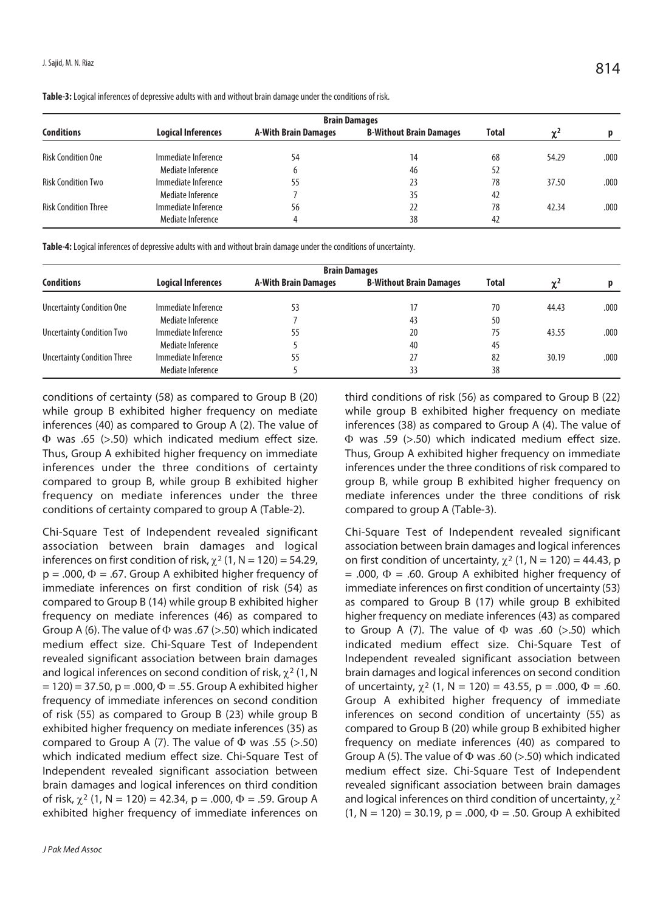| <b>Brain Damages</b>        |                           |                             |                                |              |                 |      |
|-----------------------------|---------------------------|-----------------------------|--------------------------------|--------------|-----------------|------|
| <b>Conditions</b>           | <b>Logical Inferences</b> | <b>A-With Brain Damages</b> | <b>B-Without Brain Damages</b> | <b>Total</b> | $\gamma^2$<br>v |      |
| <b>Risk Condition One</b>   | Immediate Inference       | 54                          | 14                             | 68           | 54.29           | .000 |
|                             | Mediate Inference         | b                           | 46                             | 52           |                 |      |
| <b>Risk Condition Two</b>   | Immediate Inference       | 55                          | 23                             | 78           | 37.50           | .000 |
|                             | Mediate Inference         |                             | 35                             | 42           |                 |      |
| <b>Risk Condition Three</b> | Immediate Inference       | 56                          | 22                             | 78           | 42.34           | .000 |
|                             | Mediate Inference         |                             | 38                             | 42           |                 |      |

**Table-3:** Logical inferences of depressive adults with and without brain damage under the conditions of risk.

**Table-4:** Logical inferences of depressive adults with and without brain damage under the conditions of uncertainty.

|                                    | <b>Brain Damages</b>      |                             |                                |              |            |      |
|------------------------------------|---------------------------|-----------------------------|--------------------------------|--------------|------------|------|
| <b>Conditions</b>                  | <b>Logical Inferences</b> | <b>A-With Brain Damages</b> | <b>B-Without Brain Damages</b> | <b>Total</b> | $\gamma^2$ |      |
| <b>Uncertainty Condition One</b>   | Immediate Inference       | 53                          | 17                             | 70           | 44.43      | .000 |
|                                    | Mediate Inference         |                             | 43                             | 50           |            |      |
| <b>Uncertainty Condition Two</b>   | Immediate Inference       | 55                          | 20                             | 75           | 43.55      | .000 |
|                                    | Mediate Inference         |                             | 40                             | 45           |            |      |
| <b>Uncertainty Condition Three</b> | Immediate Inference       | 55                          | 27                             | 82           | 30.19      | .000 |
|                                    | Mediate Inference         |                             | 33                             | 38           |            |      |

conditions of certainty (58) as compared to Group B (20) while group B exhibited higher frequency on mediate inferences (40) as compared to Group A (2). The value of  $\Phi$  was .65 (>.50) which indicated medium effect size. Thus, Group A exhibited higher frequency on immediate inferences under the three conditions of certainty compared to group B, while group B exhibited higher frequency on mediate inferences under the three conditions of certainty compared to group A (Table-2).

Chi-Square Test of Independent revealed significant association between brain damages and logical inferences on first condition of risk,  $\chi^2$  (1, N = 120) = 54.29,  $p = .000$ ,  $\Phi = .67$ . Group A exhibited higher frequency of immediate inferences on first condition of risk (54) as compared to Group B (14) while group B exhibited higher frequency on mediate inferences (46) as compared to Group A (6). The value of  $\Phi$  was .67 (>.50) which indicated medium effect size. Chi-Square Test of Independent revealed significant association between brain damages and logical inferences on second condition of risk,  $\chi^2$  (1, N  $= 120$ ) = 37.50, p = .000,  $\Phi = 0.55$ . Group A exhibited higher frequency of immediate inferences on second condition of risk (55) as compared to Group B (23) while group B exhibited higher frequency on mediate inferences (35) as compared to Group A (7). The value of  $\Phi$  was .55 (>.50) which indicated medium effect size. Chi-Square Test of Independent revealed significant association between brain damages and logical inferences on third condition of risk,  $\chi^2$  (1, N = 120) = 42.34, p = .000,  $\Phi$  = .59. Group A exhibited higher frequency of immediate inferences on

third conditions of risk (56) as compared to Group B (22) while group B exhibited higher frequency on mediate inferences (38) as compared to Group A (4). The value of  $\Phi$  was .59 (>.50) which indicated medium effect size. Thus, Group A exhibited higher frequency on immediate inferences under the three conditions of risk compared to group B, while group B exhibited higher frequency on mediate inferences under the three conditions of risk compared to group A (Table-3).

Chi-Square Test of Independent revealed significant association between brain damages and logical inferences on first condition of uncertainty,  $\chi^2$  (1, N = 120) = 44.43, p  $= .000$ ,  $\Phi = .60$ . Group A exhibited higher frequency of immediate inferences on first condition of uncertainty (53) as compared to Group B (17) while group B exhibited higher frequency on mediate inferences (43) as compared to Group A (7). The value of  $\Phi$  was .60 (>.50) which indicated medium effect size. Chi-Square Test of Independent revealed significant association between brain damages and logical inferences on second condition of uncertainty,  $\gamma^2$  (1, N = 120) = 43.55, p = .000,  $\Phi = .60$ . Group A exhibited higher frequency of immediate inferences on second condition of uncertainty (55) as compared to Group B (20) while group B exhibited higher frequency on mediate inferences (40) as compared to Group A (5). The value of  $\Phi$  was .60 (>.50) which indicated medium effect size. Chi-Square Test of Independent revealed significant association between brain damages and logical inferences on third condition of uncertainty,  $\chi^2$  $(1, N = 120) = 30.19$ ,  $p = .000$ ,  $\Phi = .50$ . Group A exhibited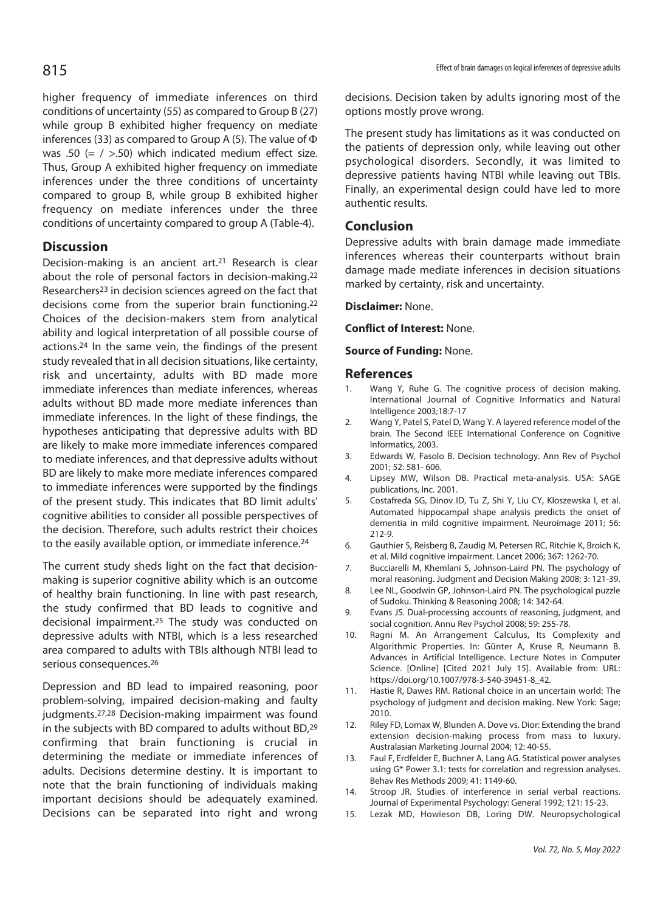higher frequency of immediate inferences on third conditions of uncertainty (55) as compared to Group B (27) while group B exhibited higher frequency on mediate inferences (33) as compared to Group A (5). The value of  $\Phi$ was .50 (=  $/$  >.50) which indicated medium effect size. Thus, Group A exhibited higher frequency on immediate inferences under the three conditions of uncertainty compared to group B, while group B exhibited higher frequency on mediate inferences under the three conditions of uncertainty compared to group A (Table-4).

# **Discussion**

Decision-making is an ancient art.21 Research is clear about the role of personal factors in decision-making.22 Researchers<sup>23</sup> in decision sciences agreed on the fact that decisions come from the superior brain functioning.22 Choices of the decision-makers stem from analytical ability and logical interpretation of all possible course of actions.24 In the same vein, the findings of the present study revealed that in all decision situations, like certainty, risk and uncertainty, adults with BD made more immediate inferences than mediate inferences, whereas adults without BD made more mediate inferences than immediate inferences. In the light of these findings, the hypotheses anticipating that depressive adults with BD are likely to make more immediate inferences compared to mediate inferences, and that depressive adults without BD are likely to make more mediate inferences compared to immediate inferences were supported by the findings of the present study. This indicates that BD limit adults' cognitive abilities to consider all possible perspectives of the decision. Therefore, such adults restrict their choices to the easily available option, or immediate inference.<sup>24</sup>

The current study sheds light on the fact that decisionmaking is superior cognitive ability which is an outcome of healthy brain functioning. In line with past research, the study confirmed that BD leads to cognitive and decisional impairment.25 The study was conducted on depressive adults with NTBI, which is a less researched area compared to adults with TBIs although NTBI lead to serious consequences.26

Depression and BD lead to impaired reasoning, poor problem-solving, impaired decision-making and faulty judgments.27,28 Decision-making impairment was found in the subjects with BD compared to adults without BD,29 confirming that brain functioning is crucial in determining the mediate or immediate inferences of adults. Decisions determine destiny. It is important to note that the brain functioning of individuals making important decisions should be adequately examined. Decisions can be separated into right and wrong decisions. Decision taken by adults ignoring most of the options mostly prove wrong.

The present study has limitations as it was conducted on the patients of depression only, while leaving out other psychological disorders. Secondly, it was limited to depressive patients having NTBI while leaving out TBIs. Finally, an experimental design could have led to more authentic results.

### **Conclusion**

Depressive adults with brain damage made immediate inferences whereas their counterparts without brain damage made mediate inferences in decision situations marked by certainty, risk and uncertainty.

**Disclaimer:** None.

**Conflict of Interest:** None.

**Source of Funding:** None.

#### **References**

- Wang Y, Ruhe G. The cognitive process of decision making. International Journal of Cognitive Informatics and Natural Intelligence 2003;18:7-17
- 2. Wang Y, Patel S, Patel D, Wang Y. A layered reference model of the brain. The Second IEEE International Conference on Cognitive Informatics, 2003.
- 3. Edwards W, Fasolo B. Decision technology. Ann Rev of Psychol 2001; 52: 581- 606.
- 4. Lipsey MW, Wilson DB. Practical meta-analysis. USA: SAGE publications, Inc. 2001.
- 5. Costafreda SG, Dinov ID, Tu Z, Shi Y, Liu CY, Kloszewska I, et al. Automated hippocampal shape analysis predicts the onset of dementia in mild cognitive impairment. Neuroimage 2011; 56: 212-9.
- 6. Gauthier S, Reisberg B, Zaudig M, Petersen RC, Ritchie K, Broich K, et al. Mild cognitive impairment. Lancet 2006; 367: 1262-70.
- 7. Bucciarelli M, Khemlani S, Johnson-Laird PN. The psychology of moral reasoning. Judgment and Decision Making 2008; 3: 121-39.
- 8. Lee NL, Goodwin GP, Johnson-Laird PN. The psychological puzzle of Sudoku. Thinking & Reasoning 2008; 14: 342-64.
- 9. Evans JS. Dual-processing accounts of reasoning, judgment, and social cognition. Annu Rev Psychol 2008; 59: 255-78.
- 10. Ragni M. An Arrangement Calculus, Its Complexity and Algorithmic Properties. In: Günter A, Kruse R, Neumann B. Advances in Artificial Intelligence. Lecture Notes in Computer Science. [Online] [Cited 2021 July 15]. Available from: URL: https://doi.org/10.1007/978-3-540-39451-8\_42.
- 11. Hastie R, Dawes RM. Rational choice in an uncertain world: The psychology of judgment and decision making. New York: Sage; 2010.
- 12. Riley FD, Lomax W, Blunden A. Dove vs. Dior: Extending the brand extension decision-making process from mass to luxury. Australasian Marketing Journal 2004; 12: 40-55.
- 13. Faul F, Erdfelder E, Buchner A, Lang AG. Statistical power analyses using G\* Power 3.1: tests for correlation and regression analyses. Behav Res Methods 2009; 41: 1149-60.
- 14. Stroop JR. Studies of interference in serial verbal reactions. Journal of Experimental Psychology: General 1992; 121: 15-23.
- 15. Lezak MD, Howieson DB, Loring DW. Neuropsychological